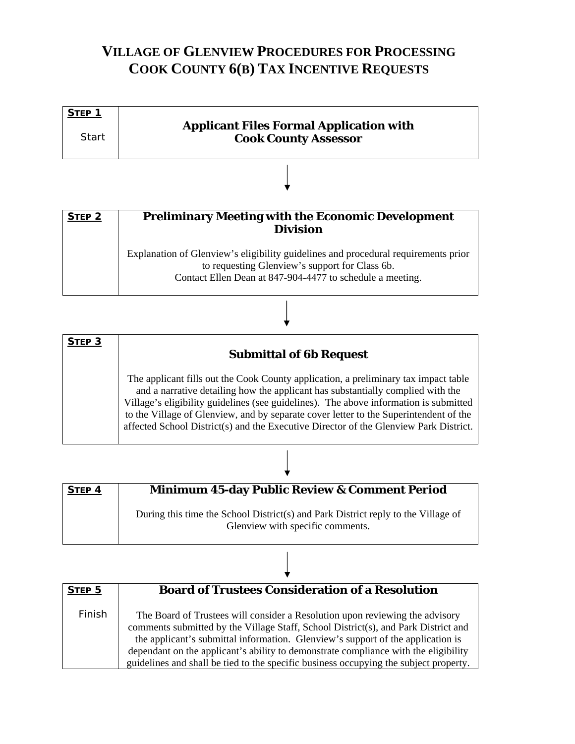## **VILLAGE OF GLENVIEW PROCEDURES FOR PROCESSING COOK COUNTY 6(B) TAX INCENTIVE REQUESTS**

| STEP <sub>1</sub> | <b>Applicant Files Formal Application with</b> |
|-------------------|------------------------------------------------|
| <b>Start</b>      | <b>Cook County Assessor</b>                    |
|                   |                                                |

| <b>STEP 2</b> | <b>Preliminary Meeting with the Economic Development</b><br><b>Division</b>                                                                                                                       |
|---------------|---------------------------------------------------------------------------------------------------------------------------------------------------------------------------------------------------|
|               | Explanation of Glenview's eligibility guidelines and procedural requirements prior<br>to requesting Glenview's support for Class 6b.<br>Contact Ellen Dean at 847-904-4477 to schedule a meeting. |

| STEP <sub>3</sub> | <b>Submittal of 6b Request</b>                                                                                                                                                                                                                                                                                                                                                                                                                    |
|-------------------|---------------------------------------------------------------------------------------------------------------------------------------------------------------------------------------------------------------------------------------------------------------------------------------------------------------------------------------------------------------------------------------------------------------------------------------------------|
|                   | The applicant fills out the Cook County application, a preliminary tax impact table<br>and a narrative detailing how the applicant has substantially complied with the<br>Village's eligibility guidelines (see guidelines). The above information is submitted<br>to the Village of Glenview, and by separate cover letter to the Superintendent of the<br>affected School District(s) and the Executive Director of the Glenview Park District. |

| <b>STEP 4</b> | <b>Minimum 45-day Public Review &amp; Comment Period</b>                                                              |
|---------------|-----------------------------------------------------------------------------------------------------------------------|
|               | During this time the School District(s) and Park District reply to the Village of<br>Glenview with specific comments. |

| STEP <sub>5</sub> | <b>Board of Trustees Consideration of a Resolution</b>                                                                                                                                                                                                                                                                                                                                                                                |
|-------------------|---------------------------------------------------------------------------------------------------------------------------------------------------------------------------------------------------------------------------------------------------------------------------------------------------------------------------------------------------------------------------------------------------------------------------------------|
| Finish            | The Board of Trustees will consider a Resolution upon reviewing the advisory<br>comments submitted by the Village Staff, School District(s), and Park District and<br>the applicant's submittal information. Glenview's support of the application is<br>dependant on the applicant's ability to demonstrate compliance with the eligibility<br>guidelines and shall be tied to the specific business occupying the subject property. |